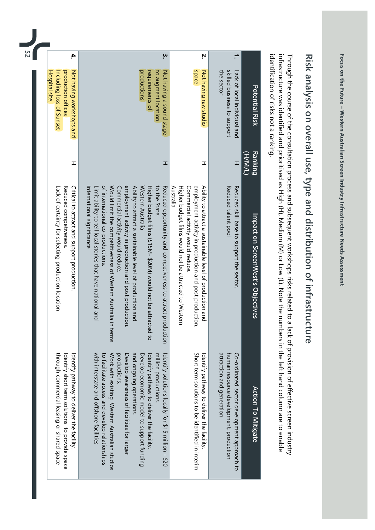| The Motor Micter Mictersham Scrape                                                                                                                                                                                                   |
|--------------------------------------------------------------------------------------------------------------------------------------------------------------------------------------------------------------------------------------|
|                                                                                                                                                                                                                                      |
| <b>Present Secret Menter Indianal Direction Corresponding to the Secret Secret Secret Secret Secret Secret Secret Secret Secret Secret Secret Secret Secret Secret Secret Secret Secret Secret Secret Secret Secret Secret Secre</b> |
|                                                                                                                                                                                                                                      |
|                                                                                                                                                                                                                                      |
| .<br>.<br>.<br>.<br>.                                                                                                                                                                                                                |
|                                                                                                                                                                                                                                      |

## Risk analysis on overall use, type and distribution of infrastructure Risk analysis on overall use, type and distribution of infrastructure

identification of risks not a ranking. infrastructure was identified and prioritised as High (H), Medium (M) or Low (L). Note the numbers in the left hand column are to enable Through the course of the consultation process and subsequent workshops risks related to a lack of provision of effective screen industry identification of risks not a ranking. infrastructure Through the course of the consultation process and subsequent workshops risks related to a lack of provision of effective screen industry was identified and prioritised as High YHZ, Medium YMZ or Low YLZ. Note the numbers in the left hand column are to enable

|                                                                                                                                                                                                                                                                                                                                                                                                           |                                                                                                                                                                                                                                                                                                                                                                                                                                                                                                                                |                    |                                                                                                    | 52         |
|-----------------------------------------------------------------------------------------------------------------------------------------------------------------------------------------------------------------------------------------------------------------------------------------------------------------------------------------------------------------------------------------------------------|--------------------------------------------------------------------------------------------------------------------------------------------------------------------------------------------------------------------------------------------------------------------------------------------------------------------------------------------------------------------------------------------------------------------------------------------------------------------------------------------------------------------------------|--------------------|----------------------------------------------------------------------------------------------------|------------|
| through commercial leasing or shared space<br>Identify short term solutions to provide space<br>Identify pathway to deliver the facility                                                                                                                                                                                                                                                                  | Critical to attract and support production.<br>Reduced competiveness<br>Lack of certainty for selecting production location                                                                                                                                                                                                                                                                                                                                                                                                    | I                  | Not having workshops and<br>production offices<br><b>Hospital site</b><br>Including loss of Sunset | 4.         |
| with interstate and offshore facilities<br>and ongoing operations<br>to facilitate access and develop relationships<br>Work with existing Mestern Australian stradios<br>productions<br>milion productions<br>Develop assurances of facilities for larger<br>Develop economic model to support funding<br>Identify pathway to deliver the facility.<br>ldentify solutions locally for \$15 million - \$20 | of international co-productions.<br>Would limit the competitiveness of Western Australia in terms<br>employment activity in production and post production.<br>to the State.<br>Reduced opportunity and competiveness to attract production<br>Ability to attract a sustainable level of production<br>Western Australia<br>Higher budget films (\$15M-\$20M) would not be attracted to<br>international significance<br>Commercial activity would reduce<br>Limit ability to tell local stories that have national and<br>pue | H                  | requirements of<br>to augment location<br>productions<br>Not having a sound stage                  | ָ <b>w</b> |
| Short term solutions to be identified in interim<br>Identify pathway to deliver the facility.                                                                                                                                                                                                                                                                                                             | employment activity in production and post production.<br>Australia<br>Commercial activity would reduce<br>Ability to attract a sustainable level of production and<br>Higher budget films would not be attracted to Western                                                                                                                                                                                                                                                                                                   | ᆂ                  | <b>Space</b><br>Not having raw studio                                                              | Ņ          |
| attraction and generation<br>human resource development, production<br>Co-ordinated sector development approach to                                                                                                                                                                                                                                                                                        | Reduced talent pool<br>Reduced skill base to support the sector.                                                                                                                                                                                                                                                                                                                                                                                                                                                               | H                  | skilled business to support<br>the sector<br>Lack of local individual and                          |            |
| Action To Mitigate                                                                                                                                                                                                                                                                                                                                                                                        | Impact on ScreenWest's Objectives                                                                                                                                                                                                                                                                                                                                                                                                                                                                                              | Ranking<br>(1/M/H) | <b>Potential Risk</b>                                                                              |            |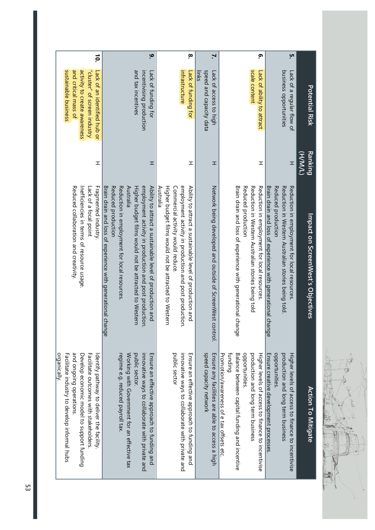| AVE AVERE<br>J |  |
|----------------|--|
|                |  |
|                |  |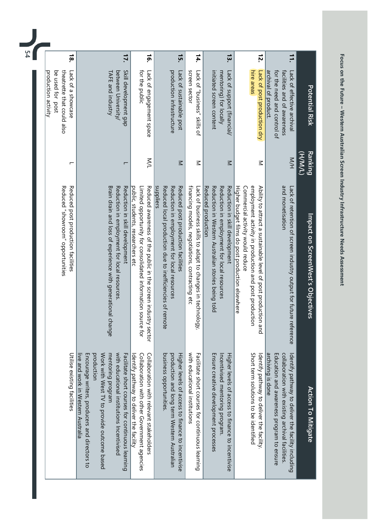| ocus on the Future - V                                                                           |
|--------------------------------------------------------------------------------------------------|
|                                                                                                  |
| Western Australian Screen                                                                        |
|                                                                                                  |
|                                                                                                  |
|                                                                                                  |
|                                                                                                  |
| י אבסרכים באסטור המוקור הנוח המוקרות המונח המוקדמים והכתים המוקדמים והמוקדמים ביותר ה<br>リコントリート |
| ֧֦֧֦֧֦֧֦֧֦֧֦֧֦֧֦֧֦֝֝֝֝֝ <b>֟</b><br>֧֪֝                                                          |

| 1é.<br>15.<br>14.<br>screen sector<br>for the public<br>production intrastructure<br>Lack of sustainable post<br>initiated screen content<br>mentoring) for locally<br>Lack of "business" skills of | 17.                                                                                                                                                                                                                                                                                                                    |
|-----------------------------------------------------------------------------------------------------------------------------------------------------------------------------------------------------|------------------------------------------------------------------------------------------------------------------------------------------------------------------------------------------------------------------------------------------------------------------------------------------------------------------------|
|                                                                                                                                                                                                     |                                                                                                                                                                                                                                                                                                                        |
| Limited opportunity for consolidated information source for<br>Reduced awareness of the public in the screen industry sector<br>public, students, researchers etc                                   | Brain drain and loss of experience with generational change<br>Reduction in employment for local resources.<br>Reduction in skill development                                                                                                                                                                          |
| Collaboration with relevant stakeholders<br>Identify pathway to deliver the facility                                                                                                                | Work with West TV to provide outcome based<br>mentoring program<br>with educational institutions Incentivised<br>Encourage writers, producers and directors to<br>production<br>Facilitate short courses for continuous learning<br>Collaboration with other Government agencies<br>live and work in Western Australia |
| Lack of engagement space<br>$\leq$<br>sabbliers                                                                                                                                                     | Skill development gap<br>TAFE and industry<br>between University/<br>г                                                                                                                                                                                                                                                 |
|                                                                                                                                                                                                     |                                                                                                                                                                                                                                                                                                                        |